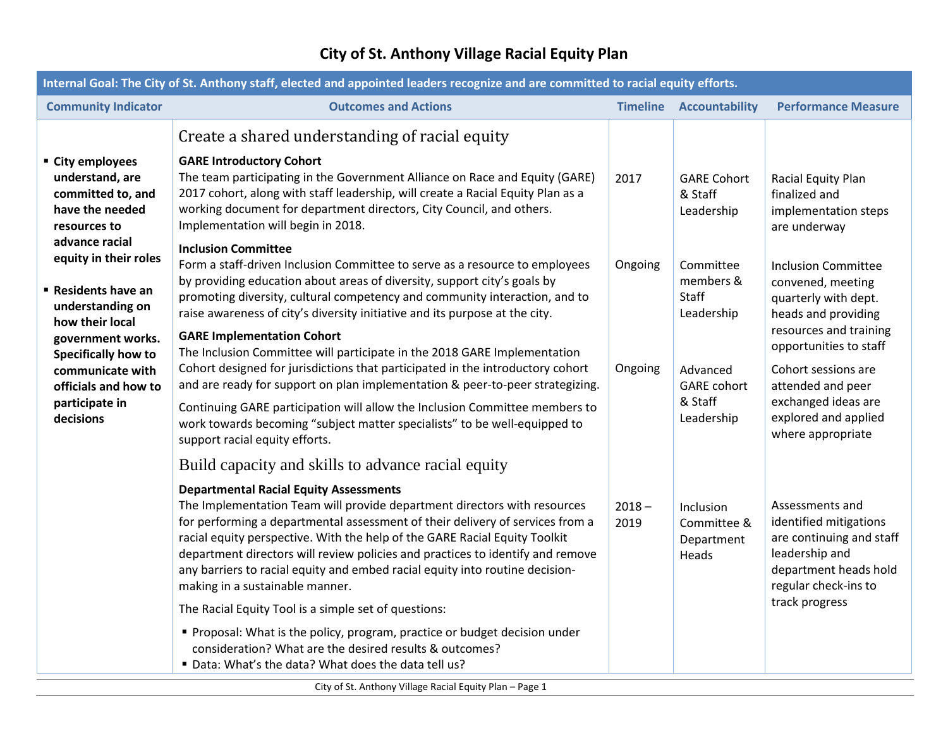## **City of St. Anthony Village Racial Equity Plan**

| Internal Goal: The City of St. Anthony staff, elected and appointed leaders recognize and are committed to racial equity efforts.                                                                                                                                                                                                       |                                                                                                                                                                                                                                                                                                                                                                                                                                                                                                                                                                                                                                                                                                                                                                                                                                      |                    |                                                                                                          |                                                                                                                                                                                                                                                                    |  |  |  |
|-----------------------------------------------------------------------------------------------------------------------------------------------------------------------------------------------------------------------------------------------------------------------------------------------------------------------------------------|--------------------------------------------------------------------------------------------------------------------------------------------------------------------------------------------------------------------------------------------------------------------------------------------------------------------------------------------------------------------------------------------------------------------------------------------------------------------------------------------------------------------------------------------------------------------------------------------------------------------------------------------------------------------------------------------------------------------------------------------------------------------------------------------------------------------------------------|--------------------|----------------------------------------------------------------------------------------------------------|--------------------------------------------------------------------------------------------------------------------------------------------------------------------------------------------------------------------------------------------------------------------|--|--|--|
| <b>Community Indicator</b>                                                                                                                                                                                                                                                                                                              | <b>Outcomes and Actions</b>                                                                                                                                                                                                                                                                                                                                                                                                                                                                                                                                                                                                                                                                                                                                                                                                          | <b>Timeline</b>    | <b>Accountability</b>                                                                                    | <b>Performance Measure</b>                                                                                                                                                                                                                                         |  |  |  |
| ■ City employees<br>understand, are<br>committed to, and<br>have the needed<br>resources to<br>advance racial<br>equity in their roles<br><b>Residents have an</b><br>understanding on<br>how their local<br>government works.<br><b>Specifically how to</b><br>communicate with<br>officials and how to<br>participate in<br>decisions | Create a shared understanding of racial equity<br><b>GARE Introductory Cohort</b><br>The team participating in the Government Alliance on Race and Equity (GARE)<br>2017 cohort, along with staff leadership, will create a Racial Equity Plan as a<br>working document for department directors, City Council, and others.<br>Implementation will begin in 2018.                                                                                                                                                                                                                                                                                                                                                                                                                                                                    | 2017               | <b>GARE Cohort</b><br>& Staff<br>Leadership                                                              | Racial Equity Plan<br>finalized and<br>implementation steps<br>are underway                                                                                                                                                                                        |  |  |  |
|                                                                                                                                                                                                                                                                                                                                         | <b>Inclusion Committee</b><br>Form a staff-driven Inclusion Committee to serve as a resource to employees<br>by providing education about areas of diversity, support city's goals by<br>promoting diversity, cultural competency and community interaction, and to<br>raise awareness of city's diversity initiative and its purpose at the city.<br><b>GARE Implementation Cohort</b><br>The Inclusion Committee will participate in the 2018 GARE Implementation<br>Cohort designed for jurisdictions that participated in the introductory cohort<br>and are ready for support on plan implementation & peer-to-peer strategizing.<br>Continuing GARE participation will allow the Inclusion Committee members to<br>work towards becoming "subject matter specialists" to be well-equipped to<br>support racial equity efforts. | Ongoing<br>Ongoing | Committee<br>members &<br>Staff<br>Leadership<br>Advanced<br><b>GARE</b> cohort<br>& Staff<br>Leadership | <b>Inclusion Committee</b><br>convened, meeting<br>quarterly with dept.<br>heads and providing<br>resources and training<br>opportunities to staff<br>Cohort sessions are<br>attended and peer<br>exchanged ideas are<br>explored and applied<br>where appropriate |  |  |  |
|                                                                                                                                                                                                                                                                                                                                         | Build capacity and skills to advance racial equity<br><b>Departmental Racial Equity Assessments</b><br>The Implementation Team will provide department directors with resources<br>for performing a departmental assessment of their delivery of services from a<br>racial equity perspective. With the help of the GARE Racial Equity Toolkit<br>department directors will review policies and practices to identify and remove<br>any barriers to racial equity and embed racial equity into routine decision-<br>making in a sustainable manner.<br>The Racial Equity Tool is a simple set of questions:<br>" Proposal: What is the policy, program, practice or budget decision under<br>consideration? What are the desired results & outcomes?<br>" Data: What's the data? What does the data tell us?                         | $2018 -$<br>2019   | Inclusion<br>Committee &<br>Department<br>Heads                                                          | Assessments and<br>identified mitigations<br>are continuing and staff<br>leadership and<br>department heads hold<br>regular check-ins to<br>track progress                                                                                                         |  |  |  |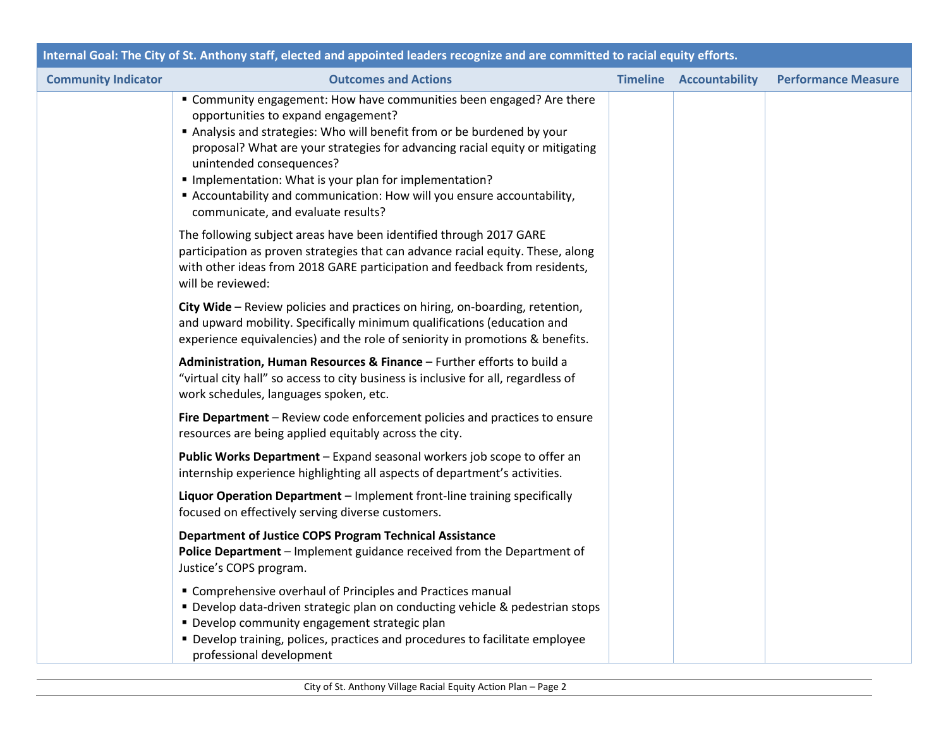| Internal Goal: The City of St. Anthony staff, elected and appointed leaders recognize and are committed to racial equity efforts. |                                                                                                                                                                                                                                                                                                                                                                                                                                                                            |                 |                |                            |  |  |  |
|-----------------------------------------------------------------------------------------------------------------------------------|----------------------------------------------------------------------------------------------------------------------------------------------------------------------------------------------------------------------------------------------------------------------------------------------------------------------------------------------------------------------------------------------------------------------------------------------------------------------------|-----------------|----------------|----------------------------|--|--|--|
| <b>Community Indicator</b>                                                                                                        | <b>Outcomes and Actions</b>                                                                                                                                                                                                                                                                                                                                                                                                                                                | <b>Timeline</b> | Accountability | <b>Performance Measure</b> |  |  |  |
|                                                                                                                                   | " Community engagement: How have communities been engaged? Are there<br>opportunities to expand engagement?<br>Analysis and strategies: Who will benefit from or be burdened by your<br>proposal? What are your strategies for advancing racial equity or mitigating<br>unintended consequences?<br>" Implementation: What is your plan for implementation?<br>Accountability and communication: How will you ensure accountability,<br>communicate, and evaluate results? |                 |                |                            |  |  |  |
|                                                                                                                                   | The following subject areas have been identified through 2017 GARE<br>participation as proven strategies that can advance racial equity. These, along<br>with other ideas from 2018 GARE participation and feedback from residents,<br>will be reviewed:                                                                                                                                                                                                                   |                 |                |                            |  |  |  |
|                                                                                                                                   | City Wide - Review policies and practices on hiring, on-boarding, retention,<br>and upward mobility. Specifically minimum qualifications (education and<br>experience equivalencies) and the role of seniority in promotions & benefits.                                                                                                                                                                                                                                   |                 |                |                            |  |  |  |
|                                                                                                                                   | Administration, Human Resources & Finance - Further efforts to build a<br>"virtual city hall" so access to city business is inclusive for all, regardless of<br>work schedules, languages spoken, etc.                                                                                                                                                                                                                                                                     |                 |                |                            |  |  |  |
|                                                                                                                                   | Fire Department - Review code enforcement policies and practices to ensure<br>resources are being applied equitably across the city.                                                                                                                                                                                                                                                                                                                                       |                 |                |                            |  |  |  |
|                                                                                                                                   | Public Works Department - Expand seasonal workers job scope to offer an<br>internship experience highlighting all aspects of department's activities.                                                                                                                                                                                                                                                                                                                      |                 |                |                            |  |  |  |
|                                                                                                                                   | Liquor Operation Department - Implement front-line training specifically<br>focused on effectively serving diverse customers.                                                                                                                                                                                                                                                                                                                                              |                 |                |                            |  |  |  |
|                                                                                                                                   | Department of Justice COPS Program Technical Assistance<br>Police Department - Implement guidance received from the Department of<br>Justice's COPS program.                                                                                                                                                                                                                                                                                                               |                 |                |                            |  |  |  |
|                                                                                                                                   | " Comprehensive overhaul of Principles and Practices manual<br>" Develop data-driven strategic plan on conducting vehicle & pedestrian stops<br>" Develop community engagement strategic plan<br>• Develop training, polices, practices and procedures to facilitate employee<br>professional development                                                                                                                                                                  |                 |                |                            |  |  |  |